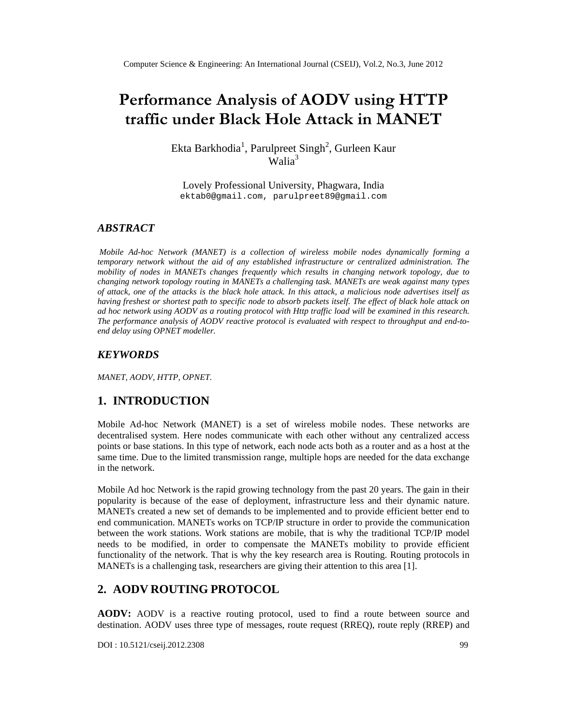# Petormance Anal Q Bivssonnig HTTP traffunder Black Hole MANERT

Ekta Barkhodiå, Parulpreet Singn Gurleen Kaur Walia $3$ 

Lovely Professional University, Phagwara, India [ektab0@gmail.com,](mailto:ektab0@gmail.com) [parulpreet89@gmail.com](mailto:parulpreet89@gmail.com)

# ABSTRACT

Mobile Ad-hoc Network (MANET) is a collection of wireless mobile nodes dynamically forming a temporary network without the aid of any established infrastructure or centralized administration. The mobility of nodes in MANETs changes equently which resultsin changing network topology due to changing network topologyouting in MANETs a challenging tas MANETs are weak against mantypes of attack, one of thattacks is the black holattack In this attack, a malicious node advertises itself as having freshest or shortest path to expitic node to absorb packetself. The effect of black hole attack on ad hoc network using AODV as a routing protocoth Http traffic loadwill be examined in this research The performance analysis of AODV reactive protocol is evaluated with respect to throughput and  $\text{mod}$ end delayusing OPNET modeller.

#### **KEYWORDS**

MANET, AODV, HTTP, OPNET.

# 1. INTRODUCTION

Mobile Ad-hoc Network (MANET) isa set of wireless mobile nodes hese networks are decentralised system. Here des communicate with each other with any centralized access points or base stations. In this typenet twork, each node acts both as a router and as athored same time. Dueto the limited transmission ange multiple hops are need for the data exchange in the network.

Mobile Ad hoc Network is the rapid growing technology from the past 20 years. The gain in their popularity is because of the ease of deployment, infrastructure less and their dynature. MANETs created a new set of demands to be implemented and to provide efficient better end to end communication. MANETs works on TCP/IP structure rderto providethe communication between thework stations. Work stations are obile, that is why the traditional TCP/IP rodel needs to bemodified, in order to compensate the MANETs mobility to provide efficient functionality of the network. That is whythe key research area is Routing. Routing protocols in MANETs is a challenging ask researchers are giving the attention to this real 1.

# 2. AODV ROUTING PROTOCOL

AODV: AODV is a reactive routing protocolused to find a routebetween source and destination. AODV uses three pe of messages, route request (RREQ), route reply (RREP) and

DOI : 10.5121/cseij.2012.2**3**0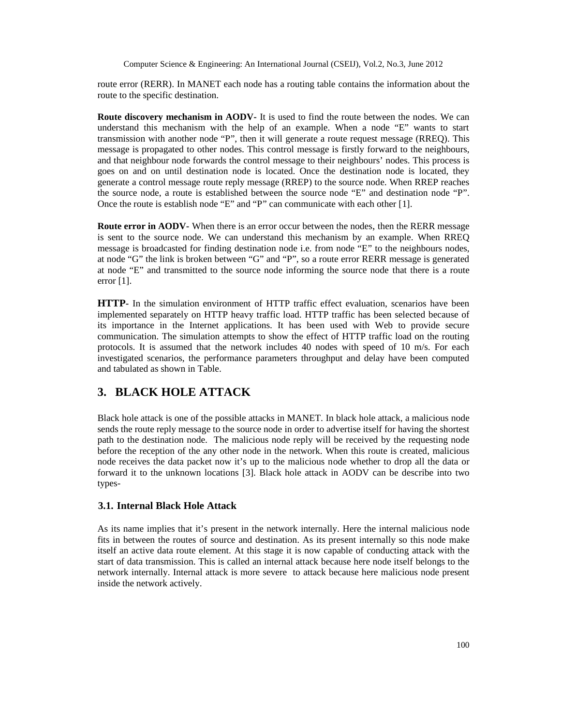route error (RERR). In MANET each node has a routing table contains the information about the route to the specific destination.

**Route discovery mechanism in AODV-** It is used to find the route between the nodes. We can understand this mechanism with the help of an example. When a node "E" wants to start transmission with another node "P", then it will generate a route request message (RREQ). This message is propagated to other nodes. This control message is firstly forward to the neighbours, and that neighbour node forwards the control message to their neighbours' nodes. This process is goes on and on until destination node is located. Once the destination node is located, they generate a control message route reply message (RREP) to the source node. When RREP reaches the source node, a route is established between the source node "E" and destination node "P". Once the route is establish node "E" and "P" can communicate with each other [1].

**Route error in AODV-** When there is an error occur between the nodes, then the RERR message is sent to the source node. We can understand this mechanism by an example. When RREQ message is broadcasted for finding destination node i.e. from node "E" to the neighbours nodes, at node "G" the link is broken between "G" and "P", so a route error RERR message is generated at node "E" and transmitted to the source node informing the source node that there is a route error [1].

**HTTP-** In the simulation environment of HTTP traffic effect evaluation, scenarios have been implemented separately on HTTP heavy traffic load. HTTP traffic has been selected because of its importance in the Internet applications. It has been used with Web to provide secure communication. The simulation attempts to show the effect of HTTP traffic load on the routing protocols. It is assumed that the network includes 40 nodes with speed of 10 m/s. For each investigated scenarios, the performance parameters throughput and delay have been computed and tabulated as shown in Table.

# **3. BLACK HOLE ATTACK**

Black hole attack is one of the possible attacks in MANET. In black hole attack, a malicious node sends the route reply message to the source node in order to advertise itself for having the shortest path to the destination node. The malicious node reply will be received by the requesting node before the reception of the any other node in the network. When this route is created, malicious node receives the data packet now it's up to the malicious node whether to drop all the data or forward it to the unknown locations [3]. Black hole attack in AODV can be describe into two types-

#### **3.1. Internal Black Hole Attack**

As its name implies that it's present in the network internally. Here the internal malicious node fits in between the routes of source and destination. As its present internally so this node make itself an active data route element. At this stage it is now capable of conducting attack with the start of data transmission. This is called an internal attack because here node itself belongs to the network internally. Internal attack is more severe to attack because here malicious node present inside the network actively.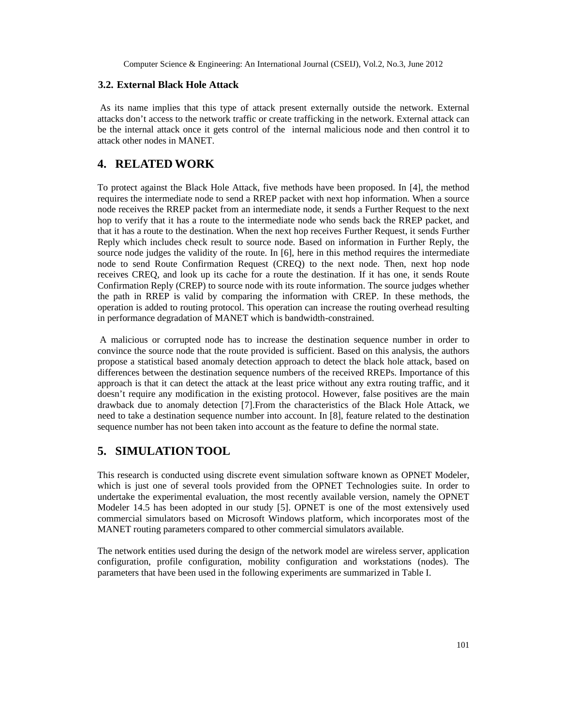#### **3.2. External Black Hole Attack**

As its name implies that this type of attack present externally outside the network. External attacks don't access to the network traffic or create trafficking in the network. External attack can be the internal attack once it gets control of the internal malicious node and then control it to attack other nodes in MANET.

# **4. RELATED WORK**

To protect against the Black Hole Attack, five methods have been proposed. In [4], the method requires the intermediate node to send a RREP packet with next hop information. When a source node receives the RREP packet from an intermediate node, it sends a Further Request to the next hop to verify that it has a route to the intermediate node who sends back the RREP packet, and that it has a route to the destination. When the next hop receives Further Request, it sends Further Reply which includes check result to source node. Based on information in Further Reply, the source node judges the validity of the route. In [6], here in this method requires the intermediate node to send Route Confirmation Request (CREQ) to the next node. Then, next hop node receives CREQ, and look up its cache for a route the destination. If it has one, it sends Route Confirmation Reply (CREP) to source node with its route information. The source judges whether the path in RREP is valid by comparing the information with CREP. In these methods, the operation is added to routing protocol. This operation can increase the routing overhead resulting in performance degradation of MANET which is bandwidth-constrained.

A malicious or corrupted node has to increase the destination sequence number in order to convince the source node that the route provided is sufficient. Based on this analysis, the authors propose a statistical based anomaly detection approach to detect the black hole attack, based on differences between the destination sequence numbers of the received RREPs. Importance of this approach is that it can detect the attack at the least price without any extra routing traffic, and it doesn't require any modification in the existing protocol. However, false positives are the main drawback due to anomaly detection [7].From the characteristics of the Black Hole Attack, we need to take a destination sequence number into account. In [8], feature related to the destination sequence number has not been taken into account as the feature to define the normal state.

# **5. SIMULATION TOOL**

This research is conducted using discrete event simulation software known as OPNET Modeler, which is just one of several tools provided from the OPNET Technologies suite. In order to undertake the experimental evaluation, the most recently available version, namely the OPNET Modeler 14.5 has been adopted in our study [5]. OPNET is one of the most extensively used commercial simulators based on Microsoft Windows platform, which incorporates most of the MANET routing parameters compared to other commercial simulators available.

The network entities used during the design of the network model are wireless server, application configuration, profile configuration, mobility configuration and workstations (nodes). The parameters that have been used in the following experiments are summarized in Table I.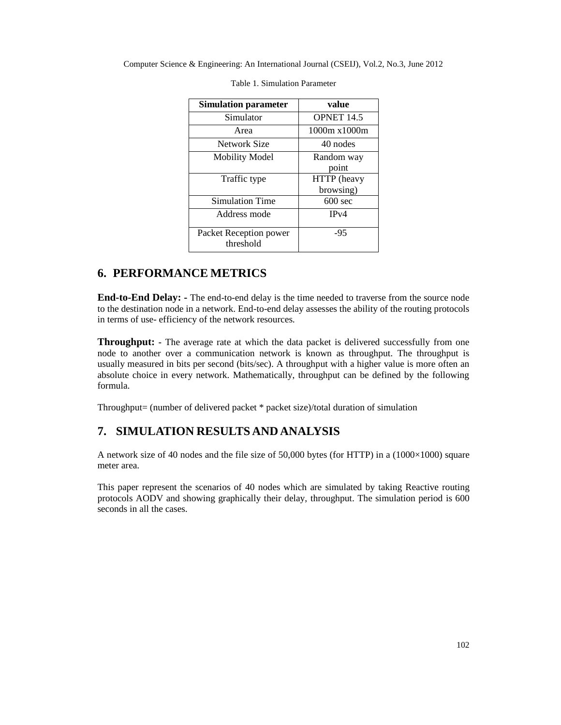| <b>Simulation parameter</b>         | value                |
|-------------------------------------|----------------------|
| Simulator                           | <b>OPNET 14.5</b>    |
| Area                                | $1000m \times 1000m$ |
| Network Size                        | 40 nodes             |
| <b>Mobility Model</b>               | Random way           |
|                                     | point                |
| Traffic type                        | HTTP (heavy          |
|                                     | browsing)            |
| Simulation Time                     | $600 \text{ sec}$    |
| Address mode                        | IPv4                 |
| Packet Reception power<br>threshold | -95                  |

|  | Table 1. Simulation Parameter |  |
|--|-------------------------------|--|
|  |                               |  |

### **6. PERFORMANCE METRICS**

**End-to-End Delay: -** The end-to-end delay is the time needed to traverse from the source node to the destination node in a network. End-to-end delay assesses the ability of the routing protocols in terms of use- efficiency of the network resources.

**Throughput: -** The average rate at which the data packet is delivered successfully from one node to another over a communication network is known as throughput. The throughput is usually measured in bits per second (bits/sec). A throughput with a higher value is more often an absolute choice in every network. Mathematically, throughput can be defined by the following formula.

Throughput= (number of delivered packet \* packet size)/total duration of simulation

#### **7. SIMULATION RESULTS AND ANALYSIS**

A network size of 40 nodes and the file size of 50,000 bytes (for HTTP) in a (1000×1000) square meter area.

This paper represent the scenarios of 40 nodes which are simulated by taking Reactive routing protocols AODV and showing graphically their delay, throughput. The simulation period is 600 seconds in all the cases.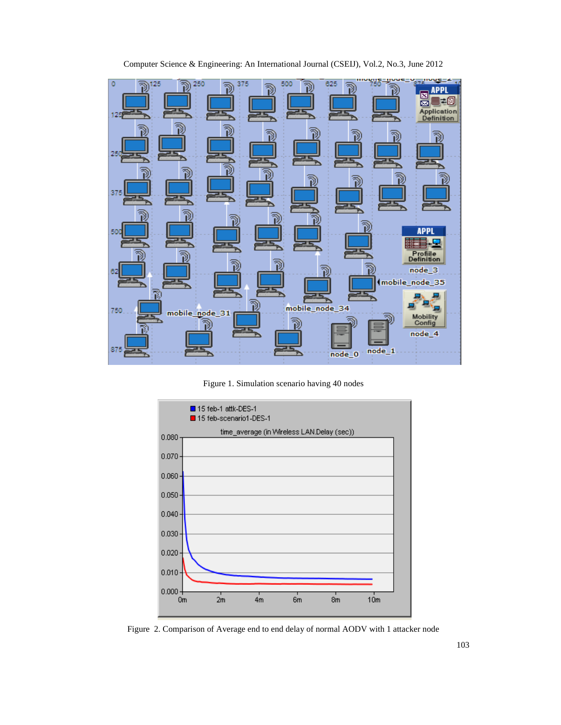

Computer Science & Engineering: An International Journal (CSEIJ), Vol.2, No.3, June 2012

Figure 1. Simulation scenario having 40 nodes



Figure 2. Comparison of Average end to end delay of normal AODV with 1 attacker node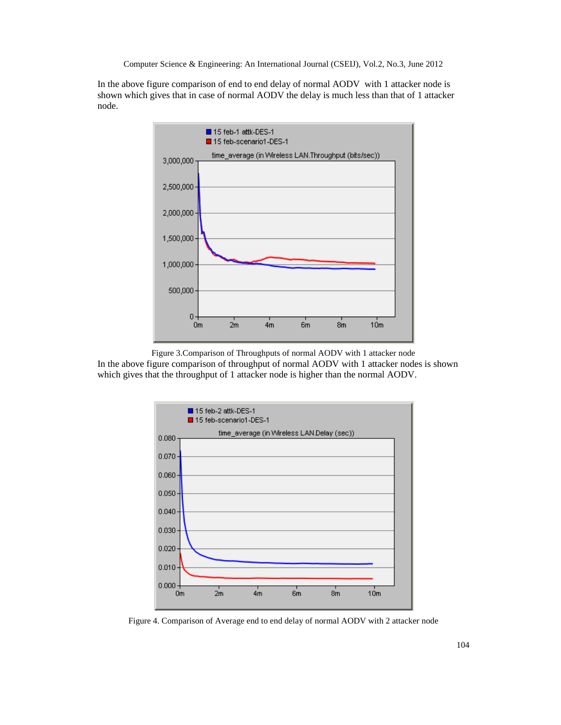In the above figure comparison of end to end delay of normal AODV with 1 attacker node is shown which gives that in case of normal AODV the delay is much less than that of 1 attacker node.



Figure 3.Comparison of Throughputs of normal AODV with 1 attacker node In the above figure comparison of throughput of normal AODV with 1 attacker nodes is shown which gives that the throughput of 1 attacker node is higher than the normal AODV.



Figure 4. Comparison of Average end to end delay of normal AODV with 2 attacker node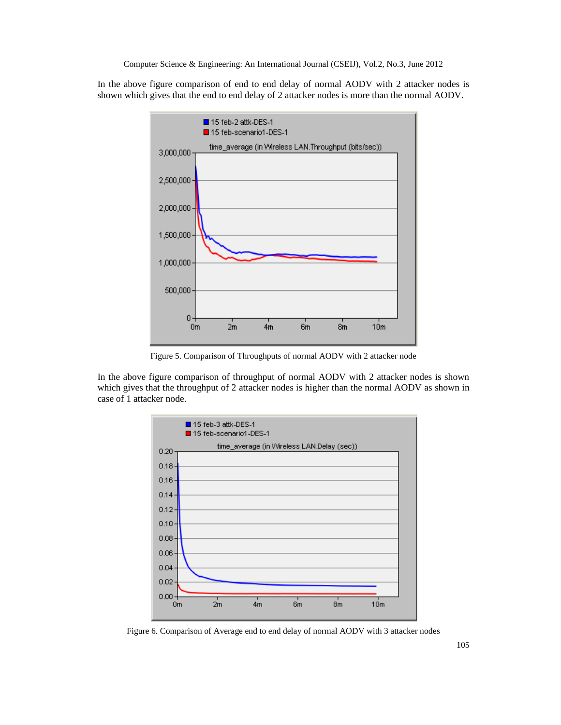In the above figure comparison of end to end delay of normal AODV with 2 attacker nodes is shown which gives that the end to end delay of 2 attacker nodes is more than the normal AODV.



Figure 5. Comparison of Throughputs of normal AODV with 2 attacker node

In the above figure comparison of throughput of normal AODV with 2 attacker nodes is shown which gives that the throughput of 2 attacker nodes is higher than the normal AODV as shown in case of 1 attacker node.



Figure 6. Comparison of Average end to end delay of normal AODV with 3 attacker nodes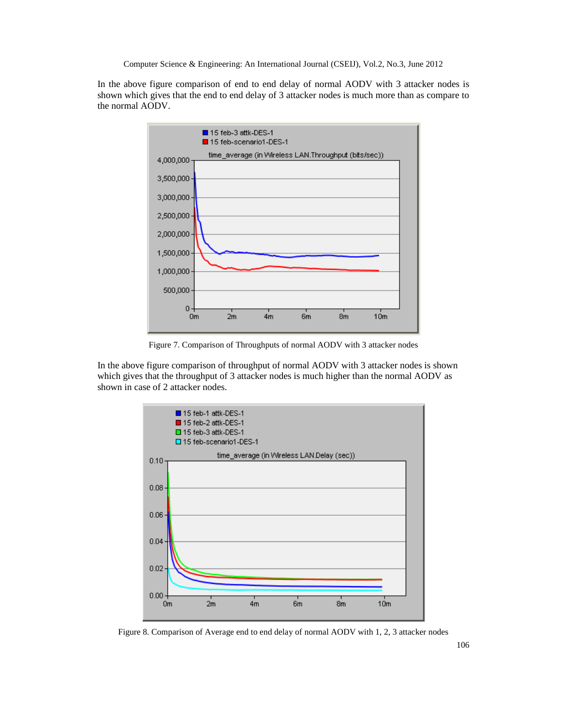In the above figure comparison of end to end delay of normal AODV with 3 attacker nodes is shown which gives that the end to end delay of 3 attacker nodes is much more than as compare to the normal AODV.



Figure 7. Comparison of Throughputs of normal AODV with 3 attacker nodes

In the above figure comparison of throughput of normal AODV with 3 attacker nodes is shown which gives that the throughput of 3 attacker nodes is much higher than the normal AODV as shown in case of 2 attacker nodes.



Figure 8. Comparison of Average end to end delay of normal AODV with 1, 2, 3 attacker nodes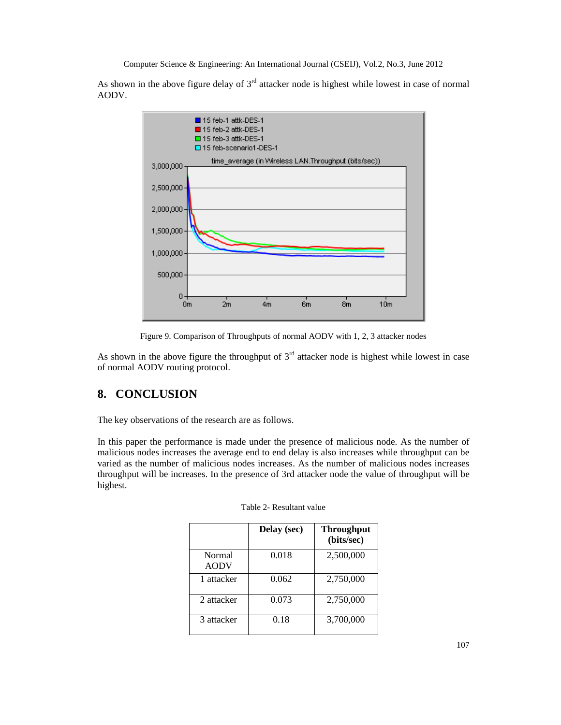As shown in the above figure delay of  $3<sup>rd</sup>$  attacker node is highest while lowest in case of normal AODV.



Figure 9. Comparison of Throughputs of normal AODV with 1, 2, 3 attacker nodes

As shown in the above figure the throughput of  $3<sup>rd</sup>$  attacker node is highest while lowest in case of normal AODV routing protocol.

# **8. CONCLUSION**

The key observations of the research are as follows.

In this paper the performance is made under the presence of malicious node. As the number of malicious nodes increases the average end to end delay is also increases while throughput can be varied as the number of malicious nodes increases. As the number of malicious nodes increases throughput will be increases. In the presence of 3rd attacker node the value of throughput will be highest.

|                       | Delay (sec) | <b>Throughput</b><br>(bits/sec) |
|-----------------------|-------------|---------------------------------|
| Normal<br><b>AODV</b> | 0.018       | 2,500,000                       |
| 1 attacker            | 0.062       | 2,750,000                       |
| 2 attacker            | 0.073       | 2,750,000                       |
| 3 attacker            | 0.18        | 3,700,000                       |

|  |  | Table 2- Resultant value |  |
|--|--|--------------------------|--|
|--|--|--------------------------|--|